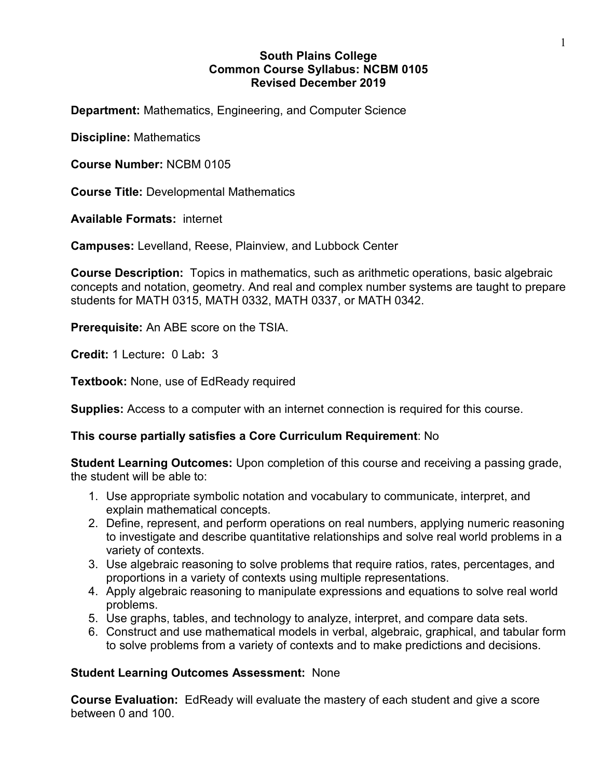# **South Plains College Common Course Syllabus: NCBM 0105 Revised December 2019**

**Department:** Mathematics, Engineering, and Computer Science

**Discipline:** Mathematics

**Course Number:** NCBM 0105

**Course Title:** Developmental Mathematics

**Available Formats:** internet

**Campuses:** Levelland, Reese, Plainview, and Lubbock Center

**Course Description:** Topics in mathematics, such as arithmetic operations, basic algebraic concepts and notation, geometry. And real and complex number systems are taught to prepare students for MATH 0315, MATH 0332, MATH 0337, or MATH 0342.

**Prerequisite:** An ABE score on the TSIA.

**Credit:** 1 Lecture**:** 0 Lab**:** 3

**Textbook:** None, use of EdReady required

**Supplies:** Access to a computer with an internet connection is required for this course.

## **This course partially satisfies a Core Curriculum Requirement**: No

**Student Learning Outcomes:** Upon completion of this course and receiving a passing grade, the student will be able to:

- 1. Use appropriate symbolic notation and vocabulary to communicate, interpret, and explain mathematical concepts.
- 2. Define, represent, and perform operations on real numbers, applying numeric reasoning to investigate and describe quantitative relationships and solve real world problems in a variety of contexts.
- 3. Use algebraic reasoning to solve problems that require ratios, rates, percentages, and proportions in a variety of contexts using multiple representations.
- 4. Apply algebraic reasoning to manipulate expressions and equations to solve real world problems.
- 5. Use graphs, tables, and technology to analyze, interpret, and compare data sets.
- 6. Construct and use mathematical models in verbal, algebraic, graphical, and tabular form to solve problems from a variety of contexts and to make predictions and decisions.

## **Student Learning Outcomes Assessment:** None

**Course Evaluation:** EdReady will evaluate the mastery of each student and give a score between 0 and 100.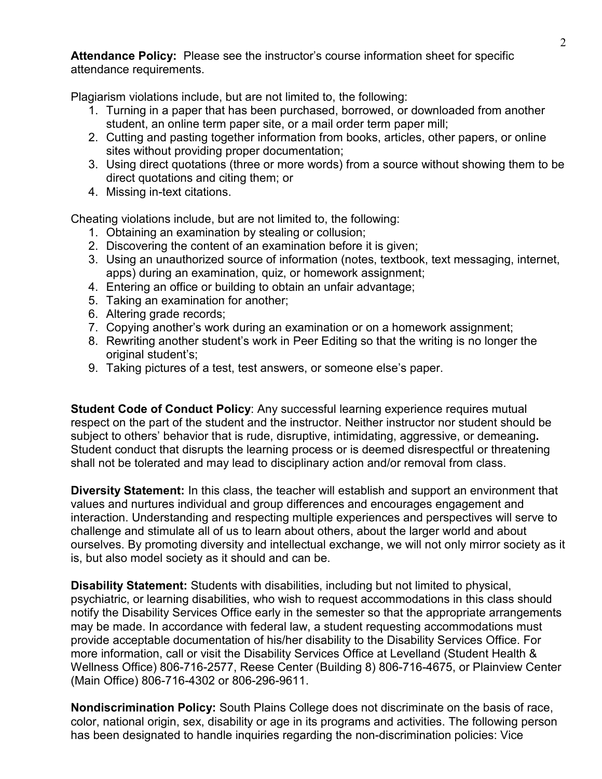**Attendance Policy:** Please see the instructor's course information sheet for specific attendance requirements.

Plagiarism violations include, but are not limited to, the following:

- 1. Turning in a paper that has been purchased, borrowed, or downloaded from another student, an online term paper site, or a mail order term paper mill;
- 2. Cutting and pasting together information from books, articles, other papers, or online sites without providing proper documentation;
- 3. Using direct quotations (three or more words) from a source without showing them to be direct quotations and citing them; or
- 4. Missing in-text citations.

Cheating violations include, but are not limited to, the following:

- 1. Obtaining an examination by stealing or collusion;
- 2. Discovering the content of an examination before it is given;
- 3. Using an unauthorized source of information (notes, textbook, text messaging, internet, apps) during an examination, quiz, or homework assignment;
- 4. Entering an office or building to obtain an unfair advantage;
- 5. Taking an examination for another;
- 6. Altering grade records;
- 7. Copying another's work during an examination or on a homework assignment;
- 8. Rewriting another student's work in Peer Editing so that the writing is no longer the original student's;
- 9. Taking pictures of a test, test answers, or someone else's paper.

**Student Code of Conduct Policy**: Any successful learning experience requires mutual respect on the part of the student and the instructor. Neither instructor nor student should be subject to others' behavior that is rude, disruptive, intimidating, aggressive, or demeaning**.**  Student conduct that disrupts the learning process or is deemed disrespectful or threatening shall not be tolerated and may lead to disciplinary action and/or removal from class.

**Diversity Statement:** In this class, the teacher will establish and support an environment that values and nurtures individual and group differences and encourages engagement and interaction. Understanding and respecting multiple experiences and perspectives will serve to challenge and stimulate all of us to learn about others, about the larger world and about ourselves. By promoting diversity and intellectual exchange, we will not only mirror society as it is, but also model society as it should and can be.

**Disability Statement:** Students with disabilities, including but not limited to physical, psychiatric, or learning disabilities, who wish to request accommodations in this class should notify the Disability Services Office early in the semester so that the appropriate arrangements may be made. In accordance with federal law, a student requesting accommodations must provide acceptable documentation of his/her disability to the Disability Services Office. For more information, call or visit the Disability Services Office at Levelland (Student Health & Wellness Office) 806-716-2577, Reese Center (Building 8) 806-716-4675, or Plainview Center (Main Office) 806-716-4302 or 806-296-9611.

**Nondiscrimination Policy:** South Plains College does not discriminate on the basis of race, color, national origin, sex, disability or age in its programs and activities. The following person has been designated to handle inquiries regarding the non-discrimination policies: Vice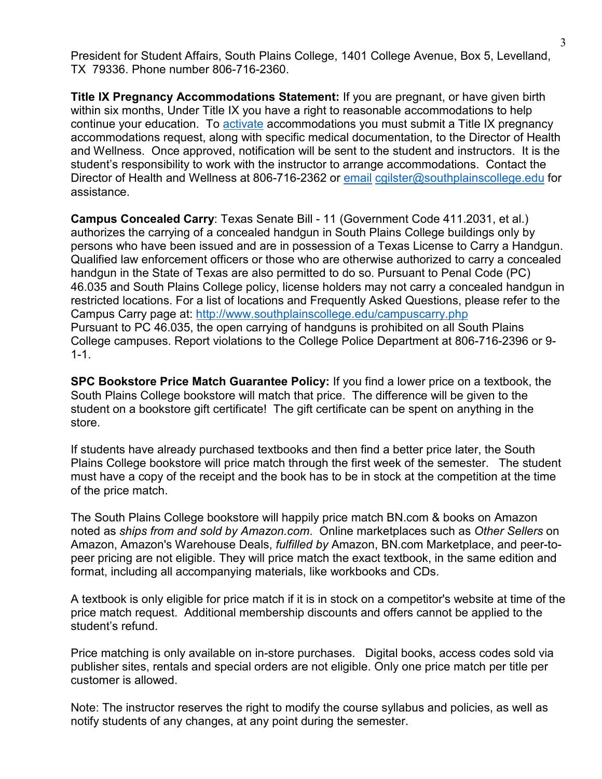President for Student Affairs, South Plains College, 1401 College Avenue, Box 5, Levelland, TX 79336. Phone number 806-716-2360.

**Title IX Pregnancy Accommodations Statement:** If you are pregnant, or have given birth within six months, Under Title IX you have a right to reasonable accommodations to help continue your education. To [activate](http://www.southplainscollege.edu/employees/manualshandbooks/facultyhandbook/sec4.php) accommodations you must submit a Title IX pregnancy accommodations request, along with specific medical documentation, to the Director of Health and Wellness. Once approved, notification will be sent to the student and instructors. It is the student's responsibility to work with the instructor to arrange accommodations. Contact the Director of Health and Wellness at 806-716-2362 or [email](http://www.southplainscollege.edu/employees/manualshandbooks/facultyhandbook/sec4.php) [cgilster@southplainscollege.edu](mailto:cgilster@southplainscollege.edu) for assistance.

**Campus Concealed Carry**: Texas Senate Bill - 11 (Government Code 411.2031, et al.) authorizes the carrying of a concealed handgun in South Plains College buildings only by persons who have been issued and are in possession of a Texas License to Carry a Handgun. Qualified law enforcement officers or those who are otherwise authorized to carry a concealed handgun in the State of Texas are also permitted to do so. Pursuant to Penal Code (PC) 46.035 and South Plains College policy, license holders may not carry a concealed handgun in restricted locations. For a list of locations and Frequently Asked Questions, please refer to the Campus Carry page at: <http://www.southplainscollege.edu/campuscarry.php> Pursuant to PC 46.035, the open carrying of handguns is prohibited on all South Plains College campuses. Report violations to the College Police Department at 806-716-2396 or 9- 1-1.

**SPC Bookstore Price Match Guarantee Policy:** If you find a lower price on a textbook, the South Plains College bookstore will match that price. The difference will be given to the student on a bookstore gift certificate! The gift certificate can be spent on anything in the store.

If students have already purchased textbooks and then find a better price later, the South Plains College bookstore will price match through the first week of the semester. The student must have a copy of the receipt and the book has to be in stock at the competition at the time of the price match.

The South Plains College bookstore will happily price match BN.com & books on Amazon noted as *ships from and sold by Amazon.com*. Online marketplaces such as *Other Sellers* on Amazon, Amazon's Warehouse Deals, *fulfilled by* Amazon, BN.com Marketplace, and peer-topeer pricing are not eligible. They will price match the exact textbook, in the same edition and format, including all accompanying materials, like workbooks and CDs.

A textbook is only eligible for price match if it is in stock on a competitor's website at time of the price match request. Additional membership discounts and offers cannot be applied to the student's refund.

Price matching is only available on in-store purchases. Digital books, access codes sold via publisher sites, rentals and special orders are not eligible. Only one price match per title per customer is allowed.

Note: The instructor reserves the right to modify the course syllabus and policies, as well as notify students of any changes, at any point during the semester.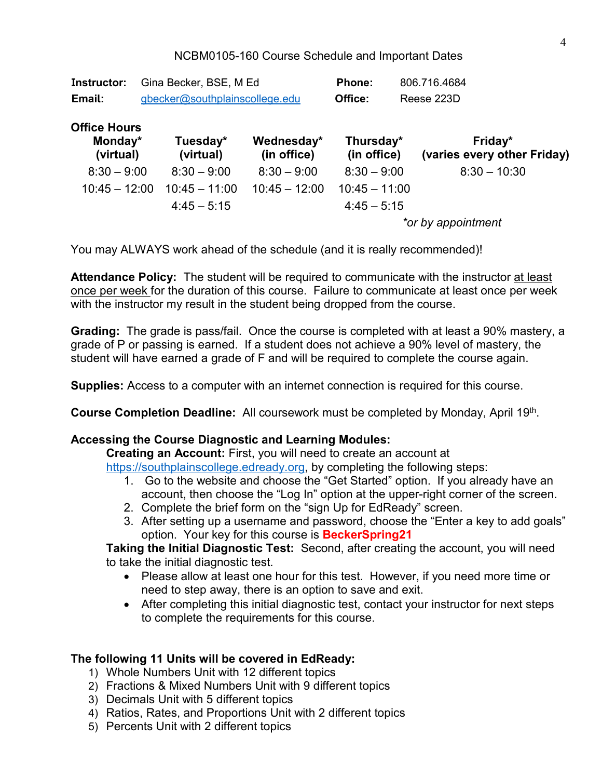NCBM0105-160 Course Schedule and Important Dates

| <b>Instructor:</b><br>Email:                | Gina Becker, BSE, M Ed<br>gbecker@southplainscollege.edu |                       |                           | <b>Phone:</b><br>Office: | 806.716.4684<br>Reese 223D             |  |  |
|---------------------------------------------|----------------------------------------------------------|-----------------------|---------------------------|--------------------------|----------------------------------------|--|--|
| <b>Office Hours</b><br>Monday*<br>(virtual) |                                                          | Tuesday*<br>(virtual) | Wednesday*<br>(in office) | Thursday*<br>(in office) | Friday*<br>(varies every other Friday) |  |  |
| $8:30 - 9:00$                               |                                                          | $8:30 - 9:00$         | $8:30 - 9:00$             | $8:30 - 9:00$            | $8:30 - 10:30$                         |  |  |
| $10:45 - 12:00$                             |                                                          | $10:45 - 11:00$       | $10:45 - 12:00$           | $10:45 - 11:00$          |                                        |  |  |
|                                             |                                                          | $4:45 - 5:15$         |                           | $4:45 - 5:15$            |                                        |  |  |
|                                             |                                                          |                       |                           | *or by appointment       |                                        |  |  |

You may ALWAYS work ahead of the schedule (and it is really recommended)!

**Attendance Policy:** The student will be required to communicate with the instructor at least once per week for the duration of this course. Failure to communicate at least once per week with the instructor my result in the student being dropped from the course.

**Grading:** The grade is pass/fail. Once the course is completed with at least a 90% mastery, a grade of P or passing is earned. If a student does not achieve a 90% level of mastery, the student will have earned a grade of F and will be required to complete the course again.

**Supplies:** Access to a computer with an internet connection is required for this course.

**Course Completion Deadline:** All coursework must be completed by Monday, April 19th.

## **Accessing the Course Diagnostic and Learning Modules:**

**Creating an Account:** First, you will need to create an account at

[https://southplainscollege.edready.org,](https://southplainscollege.edready.org/) by completing the following steps:

- 1. Go to the website and choose the "Get Started" option. If you already have an account, then choose the "Log In" option at the upper-right corner of the screen.
- 2. Complete the brief form on the "sign Up for EdReady" screen.
- 3. After setting up a username and password, choose the "Enter a key to add goals" option. Your key for this course is **BeckerSpring21**

**Taking the Initial Diagnostic Test:** Second, after creating the account, you will need to take the initial diagnostic test.

- Please allow at least one hour for this test. However, if you need more time or need to step away, there is an option to save and exit.
- After completing this initial diagnostic test, contact your instructor for next steps to complete the requirements for this course.

## **The following 11 Units will be covered in EdReady:**

- 1) Whole Numbers Unit with 12 different topics
- 2) Fractions & Mixed Numbers Unit with 9 different topics
- 3) Decimals Unit with 5 different topics
- 4) Ratios, Rates, and Proportions Unit with 2 different topics
- 5) Percents Unit with 2 different topics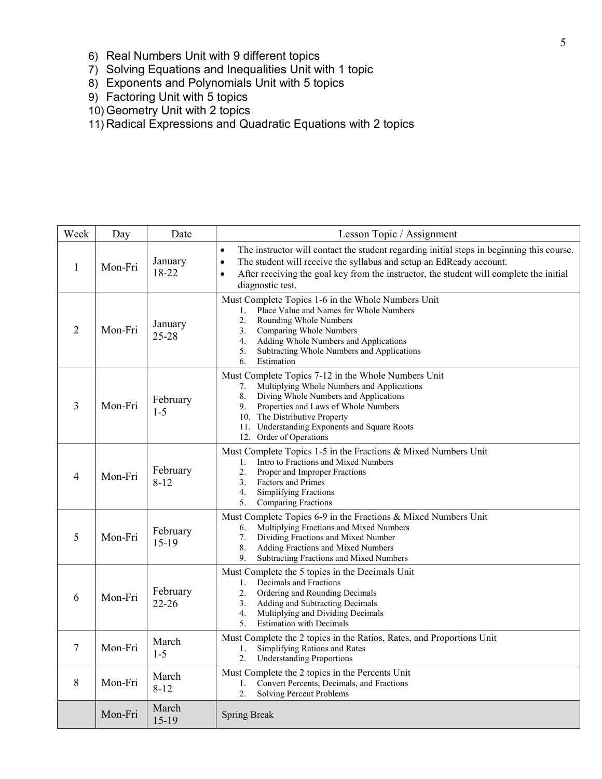- 6) Real Numbers Unit with 9 different topics
- 7) Solving Equations and Inequalities Unit with 1 topic
- 8) Exponents and Polynomials Unit with 5 topics
- 9) Factoring Unit with 5 topics
- 10) Geometry Unit with 2 topics
- 11) Radical Expressions and Quadratic Equations with 2 topics

| Week           | Day     | Date                  | Lesson Topic / Assignment                                                                                                                                                                                                                                                                                              |  |
|----------------|---------|-----------------------|------------------------------------------------------------------------------------------------------------------------------------------------------------------------------------------------------------------------------------------------------------------------------------------------------------------------|--|
| 1              | Mon-Fri | January<br>18-22      | The instructor will contact the student regarding initial steps in beginning this course.<br>$\bullet$<br>$\bullet$<br>The student will receive the syllabus and setup an EdReady account.<br>After receiving the goal key from the instructor, the student will complete the initial<br>$\bullet$<br>diagnostic test. |  |
| $\overline{2}$ | Mon-Fri | January<br>25-28      | Must Complete Topics 1-6 in the Whole Numbers Unit<br>Place Value and Names for Whole Numbers<br>1.<br>2.<br>Rounding Whole Numbers<br>3.<br>Comparing Whole Numbers<br>4.<br>Adding Whole Numbers and Applications<br>5.<br>Subtracting Whole Numbers and Applications<br>6.<br>Estimation                            |  |
| 3              | Mon-Fri | February<br>$1 - 5$   | Must Complete Topics 7-12 in the Whole Numbers Unit<br>Multiplying Whole Numbers and Applications<br>7.<br>8.<br>Diving Whole Numbers and Applications<br>9.<br>Properties and Laws of Whole Numbers<br>10. The Distributive Property<br>11. Understanding Exponents and Square Roots<br>12. Order of Operations       |  |
| 4              | Mon-Fri | February<br>$8 - 12$  | Must Complete Topics 1-5 in the Fractions & Mixed Numbers Unit<br>Intro to Fractions and Mixed Numbers<br>1.<br>2.<br>Proper and Improper Fractions<br>3.<br>Factors and Primes<br>4.<br><b>Simplifying Fractions</b><br>5.<br>Comparing Fractions                                                                     |  |
| 5              | Mon-Fri | February<br>$15-19$   | Must Complete Topics 6-9 in the Fractions & Mixed Numbers Unit<br>Multiplying Fractions and Mixed Numbers<br>6.<br>Dividing Fractions and Mixed Number<br>7.<br>8.<br>Adding Fractions and Mixed Numbers<br>9.<br>Subtracting Fractions and Mixed Numbers                                                              |  |
| 6              | Mon-Fri | February<br>$22 - 26$ | Must Complete the 5 topics in the Decimals Unit<br>Decimals and Fractions<br>1.<br>2.<br>Ordering and Rounding Decimals<br>3.<br>Adding and Subtracting Decimals<br>4.<br>Multiplying and Dividing Decimals<br><b>Estimation with Decimals</b><br>5.                                                                   |  |
| 7              | Mon-Fri | March<br>$1 - 5$      | Must Complete the 2 topics in the Ratios, Rates, and Proportions Unit<br>Simplifying Rations and Rates<br>1.<br>2.<br><b>Understanding Proportions</b>                                                                                                                                                                 |  |
| 8              | Mon-Fri | March<br>$8 - 12$     | Must Complete the 2 topics in the Percents Unit<br>Convert Percents, Decimals, and Fractions<br>1.<br>2.<br><b>Solving Percent Problems</b>                                                                                                                                                                            |  |
|                | Mon-Fri | March<br>$15-19$      | <b>Spring Break</b>                                                                                                                                                                                                                                                                                                    |  |